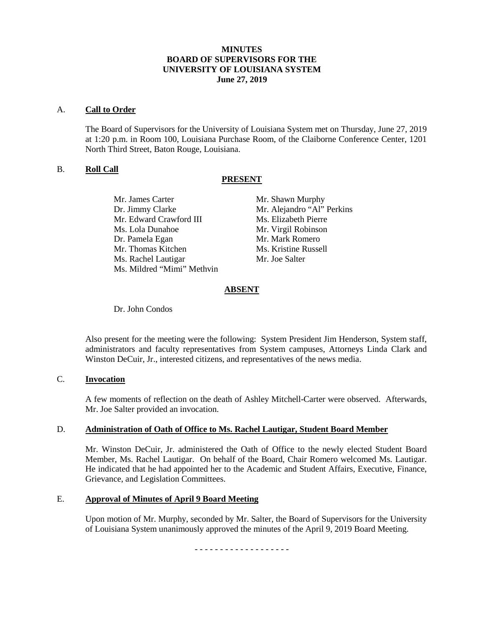### **MINUTES BOARD OF SUPERVISORS FOR THE UNIVERSITY OF LOUISIANA SYSTEM June 27, 2019**

#### A. **Call to Order**

The Board of Supervisors for the University of Louisiana System met on Thursday, June 27, 2019 at 1:20 p.m. in Room 100, Louisiana Purchase Room, of the Claiborne Conference Center, 1201 North Third Street, Baton Rouge, Louisiana.

### B. **Roll Call**

### **PRESENT**

| Mr. James Carter           | Mr. Shawn Murphy           |
|----------------------------|----------------------------|
| Dr. Jimmy Clarke           | Mr. Alejandro "Al" Perkins |
| Mr. Edward Crawford III    | Ms. Elizabeth Pierre       |
| Ms. Lola Dunahoe           | Mr. Virgil Robinson        |
| Dr. Pamela Egan            | Mr. Mark Romero            |
| Mr. Thomas Kitchen         | Ms. Kristine Russell       |
| Ms. Rachel Lautigar        | Mr. Joe Salter             |
| Ms. Mildred "Mimi" Methvin |                            |

# **ABSENT**

Dr. John Condos

Also present for the meeting were the following: System President Jim Henderson, System staff, administrators and faculty representatives from System campuses, Attorneys Linda Clark and Winston DeCuir, Jr., interested citizens, and representatives of the news media.

# C. **Invocation**

A few moments of reflection on the death of Ashley Mitchell-Carter were observed. Afterwards, Mr. Joe Salter provided an invocation.

### D. **Administration of Oath of Office to Ms. Rachel Lautigar, Student Board Member**

Mr. Winston DeCuir, Jr. administered the Oath of Office to the newly elected Student Board Member, Ms. Rachel Lautigar. On behalf of the Board, Chair Romero welcomed Ms. Lautigar. He indicated that he had appointed her to the Academic and Student Affairs, Executive, Finance, Grievance, and Legislation Committees.

### E. **Approval of Minutes of April 9 Board Meeting**

Upon motion of Mr. Murphy, seconded by Mr. Salter, the Board of Supervisors for the University of Louisiana System unanimously approved the minutes of the April 9, 2019 Board Meeting.

- - - - - - - - - - - - - - - - - - -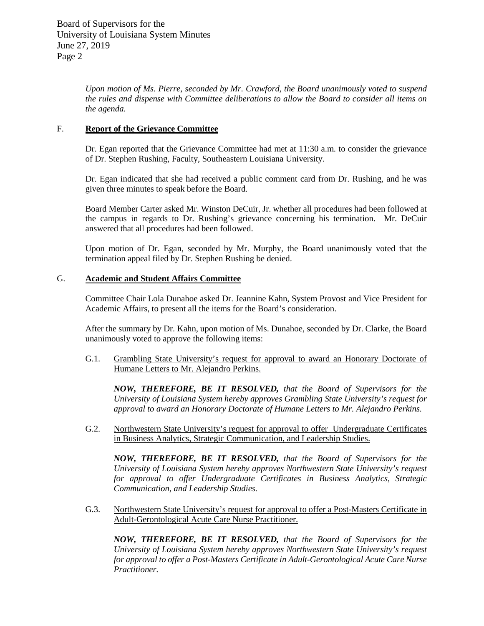*Upon motion of Ms. Pierre, seconded by Mr. Crawford, the Board unanimously voted to suspend the rules and dispense with Committee deliberations to allow the Board to consider all items on the agenda.*

### F. **Report of the Grievance Committee**

Dr. Egan reported that the Grievance Committee had met at 11:30 a.m. to consider the grievance of Dr. Stephen Rushing, Faculty, Southeastern Louisiana University.

Dr. Egan indicated that she had received a public comment card from Dr. Rushing, and he was given three minutes to speak before the Board.

Board Member Carter asked Mr. Winston DeCuir, Jr. whether all procedures had been followed at the campus in regards to Dr. Rushing's grievance concerning his termination. Mr. DeCuir answered that all procedures had been followed.

Upon motion of Dr. Egan, seconded by Mr. Murphy, the Board unanimously voted that the termination appeal filed by Dr. Stephen Rushing be denied.

# G. **Academic and Student Affairs Committee**

Committee Chair Lola Dunahoe asked Dr. Jeannine Kahn, System Provost and Vice President for Academic Affairs, to present all the items for the Board's consideration.

After the summary by Dr. Kahn, upon motion of Ms. Dunahoe, seconded by Dr. Clarke, the Board unanimously voted to approve the following items:

G.1. Grambling State University's request for approval to award an Honorary Doctorate of Humane Letters to Mr. Alejandro Perkins.

*NOW, THEREFORE, BE IT RESOLVED, that the Board of Supervisors for the University of Louisiana System hereby approves Grambling State University's request for approval to award an Honorary Doctorate of Humane Letters to Mr. Alejandro Perkins.*

G.2. Northwestern State University's request for approval to offer Undergraduate Certificates in Business Analytics, Strategic Communication, and Leadership Studies.

*NOW, THEREFORE, BE IT RESOLVED, that the Board of Supervisors for the University of Louisiana System hereby approves Northwestern State University's request for approval to offer Undergraduate Certificates in Business Analytics, Strategic Communication, and Leadership Studies.*

G.3. Northwestern State University's request for approval to offer a Post-Masters Certificate in Adult-Gerontological Acute Care Nurse Practitioner.

*NOW, THEREFORE, BE IT RESOLVED, that the Board of Supervisors for the University of Louisiana System hereby approves Northwestern State University's request for approval to offer a Post-Masters Certificate in Adult-Gerontological Acute Care Nurse Practitioner.*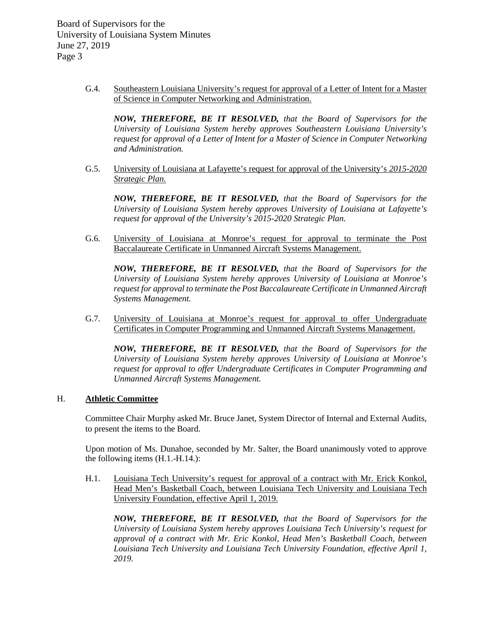> G.4. Southeastern Louisiana University's request for approval of a Letter of Intent for a Master of Science in Computer Networking and Administration.

*NOW, THEREFORE, BE IT RESOLVED, that the Board of Supervisors for the University of Louisiana System hereby approves Southeastern Louisiana University's request for approval of a Letter of Intent for a Master of Science in Computer Networking and Administration.*

G.5. University of Louisiana at Lafayette's request for approval of the University's *2015-2020 Strategic Plan.*

*NOW, THEREFORE, BE IT RESOLVED, that the Board of Supervisors for the University of Louisiana System hereby approves University of Louisiana at Lafayette's request for approval of the University's 2015-2020 Strategic Plan.*

G.6. University of Louisiana at Monroe's request for approval to terminate the Post Baccalaureate Certificate in Unmanned Aircraft Systems Management.

*NOW, THEREFORE, BE IT RESOLVED, that the Board of Supervisors for the University of Louisiana System hereby approves University of Louisiana at Monroe's request for approval to terminate the Post Baccalaureate Certificate in Unmanned Aircraft Systems Management.*

G.7. University of Louisiana at Monroe's request for approval to offer Undergraduate Certificates in Computer Programming and Unmanned Aircraft Systems Management.

*NOW, THEREFORE, BE IT RESOLVED, that the Board of Supervisors for the University of Louisiana System hereby approves University of Louisiana at Monroe's request for approval to offer Undergraduate Certificates in Computer Programming and Unmanned Aircraft Systems Management.*

### H. **Athletic Committee**

Committee Chair Murphy asked Mr. Bruce Janet, System Director of Internal and External Audits, to present the items to the Board.

Upon motion of Ms. Dunahoe, seconded by Mr. Salter, the Board unanimously voted to approve the following items (H.1.-H.14.):

H.1. Louisiana Tech University's request for approval of a contract with Mr. Erick Konkol, Head Men's Basketball Coach, between Louisiana Tech University and Louisiana Tech University Foundation, effective April 1, 2019.

*NOW, THEREFORE, BE IT RESOLVED, that the Board of Supervisors for the University of Louisiana System hereby approves Louisiana Tech University's request for approval of a contract with Mr. Eric Konkol, Head Men's Basketball Coach, between Louisiana Tech University and Louisiana Tech University Foundation, effective April 1, 2019.*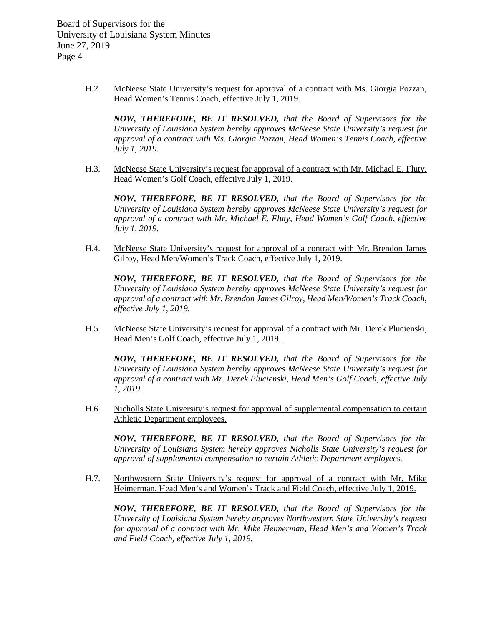> H.2. McNeese State University's request for approval of a contract with Ms. Giorgia Pozzan, Head Women's Tennis Coach, effective July 1, 2019.

*NOW, THEREFORE, BE IT RESOLVED, that the Board of Supervisors for the University of Louisiana System hereby approves McNeese State University's request for approval of a contract with Ms. Giorgia Pozzan, Head Women's Tennis Coach, effective July 1, 2019.*

H.3. McNeese State University's request for approval of a contract with Mr. Michael E. Fluty, Head Women's Golf Coach, effective July 1, 2019.

*NOW, THEREFORE, BE IT RESOLVED, that the Board of Supervisors for the University of Louisiana System hereby approves McNeese State University's request for approval of a contract with Mr. Michael E. Fluty, Head Women's Golf Coach, effective July 1, 2019.*

H.4. McNeese State University's request for approval of a contract with Mr. Brendon James Gilroy, Head Men/Women's Track Coach, effective July 1, 2019.

*NOW, THEREFORE, BE IT RESOLVED, that the Board of Supervisors for the University of Louisiana System hereby approves McNeese State University's request for approval of a contract with Mr. Brendon James Gilroy, Head Men/Women's Track Coach, effective July 1, 2019.*

H.5. McNeese State University's request for approval of a contract with Mr. Derek Plucienski, Head Men's Golf Coach, effective July 1, 2019.

*NOW, THEREFORE, BE IT RESOLVED, that the Board of Supervisors for the University of Louisiana System hereby approves McNeese State University's request for approval of a contract with Mr. Derek Plucienski, Head Men's Golf Coach, effective July 1, 2019.*

H.6. Nicholls State University's request for approval of supplemental compensation to certain Athletic Department employees.

*NOW, THEREFORE, BE IT RESOLVED, that the Board of Supervisors for the University of Louisiana System hereby approves Nicholls State University's request for approval of supplemental compensation to certain Athletic Department employees.*

H.7. Northwestern State University's request for approval of a contract with Mr. Mike Heimerman, Head Men's and Women's Track and Field Coach, effective July 1, 2019.

*NOW, THEREFORE, BE IT RESOLVED, that the Board of Supervisors for the University of Louisiana System hereby approves Northwestern State University's request for approval of a contract with Mr. Mike Heimerman, Head Men's and Women's Track and Field Coach, effective July 1, 2019.*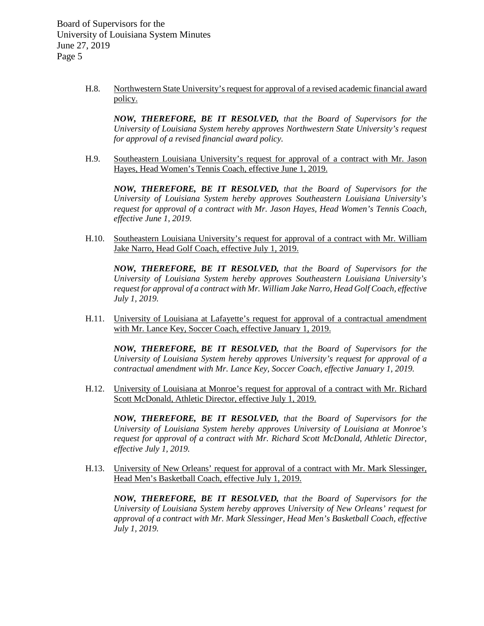> H.8. Northwestern State University's request for approval of a revised academic financial award policy.

*NOW, THEREFORE, BE IT RESOLVED, that the Board of Supervisors for the University of Louisiana System hereby approves Northwestern State University's request for approval of a revised financial award policy.*

H.9. Southeastern Louisiana University's request for approval of a contract with Mr. Jason Hayes, Head Women's Tennis Coach, effective June 1, 2019.

*NOW, THEREFORE, BE IT RESOLVED, that the Board of Supervisors for the University of Louisiana System hereby approves Southeastern Louisiana University's request for approval of a contract with Mr. Jason Hayes, Head Women's Tennis Coach, effective June 1, 2019.*

H.10. Southeastern Louisiana University's request for approval of a contract with Mr. William Jake Narro, Head Golf Coach, effective July 1, 2019.

*NOW, THEREFORE, BE IT RESOLVED, that the Board of Supervisors for the University of Louisiana System hereby approves Southeastern Louisiana University's request for approval of a contract with Mr. William Jake Narro, Head Golf Coach, effective July 1, 2019.*

H.11. University of Louisiana at Lafayette's request for approval of a contractual amendment with Mr. Lance Key, Soccer Coach, effective January 1, 2019.

*NOW, THEREFORE, BE IT RESOLVED, that the Board of Supervisors for the University of Louisiana System hereby approves University's request for approval of a contractual amendment with Mr. Lance Key, Soccer Coach, effective January 1, 2019.*

H.12. University of Louisiana at Monroe's request for approval of a contract with Mr. Richard Scott McDonald, Athletic Director, effective July 1, 2019.

*NOW, THEREFORE, BE IT RESOLVED, that the Board of Supervisors for the University of Louisiana System hereby approves University of Louisiana at Monroe's request for approval of a contract with Mr. Richard Scott McDonald, Athletic Director, effective July 1, 2019.*

H.13. University of New Orleans' request for approval of a contract with Mr. Mark Slessinger, Head Men's Basketball Coach, effective July 1, 2019.

*NOW, THEREFORE, BE IT RESOLVED, that the Board of Supervisors for the University of Louisiana System hereby approves University of New Orleans' request for approval of a contract with Mr. Mark Slessinger, Head Men's Basketball Coach, effective July 1, 2019.*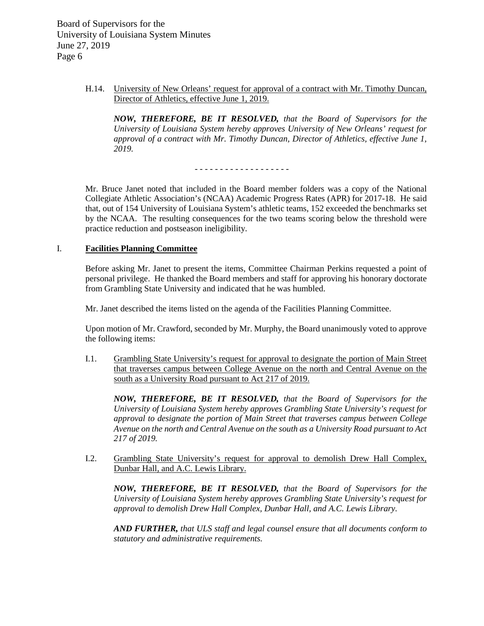> H.14. University of New Orleans' request for approval of a contract with Mr. Timothy Duncan, Director of Athletics, effective June 1, 2019.

*NOW, THEREFORE, BE IT RESOLVED, that the Board of Supervisors for the University of Louisiana System hereby approves University of New Orleans' request for approval of a contract with Mr. Timothy Duncan, Director of Athletics, effective June 1, 2019.*

- - - - - - - - - - - - - - - - - - -

Mr. Bruce Janet noted that included in the Board member folders was a copy of the National Collegiate Athletic Association's (NCAA) Academic Progress Rates (APR) for 2017-18. He said that, out of 154 University of Louisiana System's athletic teams, 152 exceeded the benchmarks set by the NCAA. The resulting consequences for the two teams scoring below the threshold were practice reduction and postseason ineligibility.

### I. **Facilities Planning Committee**

Before asking Mr. Janet to present the items, Committee Chairman Perkins requested a point of personal privilege. He thanked the Board members and staff for approving his honorary doctorate from Grambling State University and indicated that he was humbled.

Mr. Janet described the items listed on the agenda of the Facilities Planning Committee.

Upon motion of Mr. Crawford, seconded by Mr. Murphy, the Board unanimously voted to approve the following items:

I.1. Grambling State University's request for approval to designate the portion of Main Street that traverses campus between College Avenue on the north and Central Avenue on the south as a University Road pursuant to Act 217 of 2019.

*NOW, THEREFORE, BE IT RESOLVED, that the Board of Supervisors for the University of Louisiana System hereby approves Grambling State University's request for approval to designate the portion of Main Street that traverses campus between College Avenue on the north and Central Avenue on the south as a University Road pursuant to Act 217 of 2019.*

I.2. Grambling State University's request for approval to demolish Drew Hall Complex, Dunbar Hall, and A.C. Lewis Library.

*NOW, THEREFORE, BE IT RESOLVED, that the Board of Supervisors for the University of Louisiana System hereby approves Grambling State University's request for approval to demolish Drew Hall Complex, Dunbar Hall, and A.C. Lewis Library.* 

*AND FURTHER, that ULS staff and legal counsel ensure that all documents conform to statutory and administrative requirements.*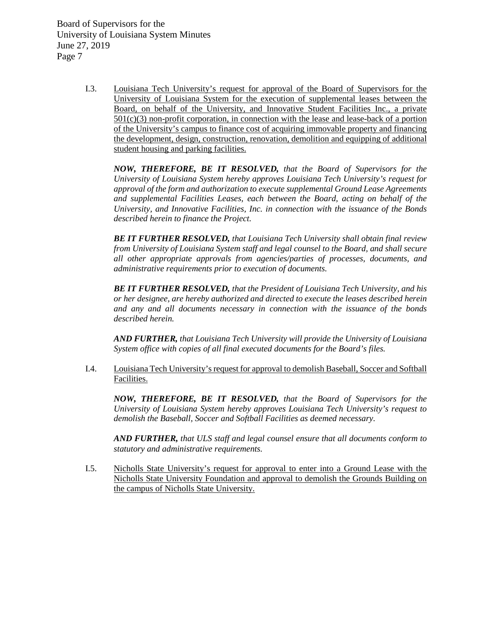> I.3. Louisiana Tech University's request for approval of the Board of Supervisors for the University of Louisiana System for the execution of supplemental leases between the Board, on behalf of the University, and Innovative Student Facilities Inc., a private  $501(c)(3)$  non-profit corporation, in connection with the lease and lease-back of a portion of the University's campus to finance cost of acquiring immovable property and financing the development, design, construction, renovation, demolition and equipping of additional student housing and parking facilities.

*NOW, THEREFORE, BE IT RESOLVED, that the Board of Supervisors for the University of Louisiana System hereby approves Louisiana Tech University's request for approval of the form and authorization to execute supplemental Ground Lease Agreements and supplemental Facilities Leases, each between the Board, acting on behalf of the University, and Innovative Facilities, Inc. in connection with the issuance of the Bonds described herein to finance the Project.* 

*BE IT FURTHER RESOLVED, that Louisiana Tech University shall obtain final review from University of Louisiana System staff and legal counsel to the Board, and shall secure all other appropriate approvals from agencies/parties of processes, documents, and administrative requirements prior to execution of documents.*

*BE IT FURTHER RESOLVED, that the President of Louisiana Tech University, and his or her designee, are hereby authorized and directed to execute the leases described herein and any and all documents necessary in connection with the issuance of the bonds described herein.* 

*AND FURTHER, that Louisiana Tech University will provide the University of Louisiana System office with copies of all final executed documents for the Board's files.* 

I.4. Louisiana Tech University's request for approval to demolish Baseball, Soccer and Softball Facilities.

*NOW, THEREFORE, BE IT RESOLVED, that the Board of Supervisors for the University of Louisiana System hereby approves Louisiana Tech University's request to demolish the Baseball, Soccer and Softball Facilities as deemed necessary.*

*AND FURTHER, that ULS staff and legal counsel ensure that all documents conform to statutory and administrative requirements.*

I.5. Nicholls State University's request for approval to enter into a Ground Lease with the Nicholls State University Foundation and approval to demolish the Grounds Building on the campus of Nicholls State University.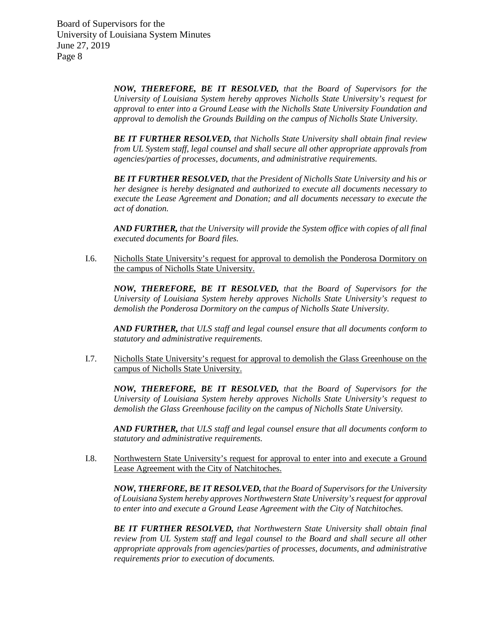> *NOW, THEREFORE, BE IT RESOLVED, that the Board of Supervisors for the University of Louisiana System hereby approves Nicholls State University's request for approval to enter into a Ground Lease with the Nicholls State University Foundation and approval to demolish the Grounds Building on the campus of Nicholls State University.*

> *BE IT FURTHER RESOLVED, that Nicholls State University shall obtain final review from UL System staff, legal counsel and shall secure all other appropriate approvals from agencies/parties of processes, documents, and administrative requirements.*

> *BE IT FURTHER RESOLVED, that the President of Nicholls State University and his or her designee is hereby designated and authorized to execute all documents necessary to execute the Lease Agreement and Donation; and all documents necessary to execute the act of donation.*

> *AND FURTHER, that the University will provide the System office with copies of all final executed documents for Board files.*

I.6. Nicholls State University's request for approval to demolish the Ponderosa Dormitory on the campus of Nicholls State University.

*NOW, THEREFORE, BE IT RESOLVED, that the Board of Supervisors for the University of Louisiana System hereby approves Nicholls State University's request to demolish the Ponderosa Dormitory on the campus of Nicholls State University.*

*AND FURTHER, that ULS staff and legal counsel ensure that all documents conform to statutory and administrative requirements.*

I.7. Nicholls State University's request for approval to demolish the Glass Greenhouse on the campus of Nicholls State University.

*NOW, THEREFORE, BE IT RESOLVED, that the Board of Supervisors for the University of Louisiana System hereby approves Nicholls State University's request to demolish the Glass Greenhouse facility on the campus of Nicholls State University.*

*AND FURTHER, that ULS staff and legal counsel ensure that all documents conform to statutory and administrative requirements.* 

I.8. Northwestern State University's request for approval to enter into and execute a Ground Lease Agreement with the City of Natchitoches.

*NOW, THERFORE, BE IT RESOLVED, that the Board of Supervisors for the University of Louisiana System hereby approves Northwestern State University's request for approval to enter into and execute a Ground Lease Agreement with the City of Natchitoches.*

*BE IT FURTHER RESOLVED, that Northwestern State University shall obtain final review from UL System staff and legal counsel to the Board and shall secure all other appropriate approvals from agencies/parties of processes, documents, and administrative requirements prior to execution of documents.*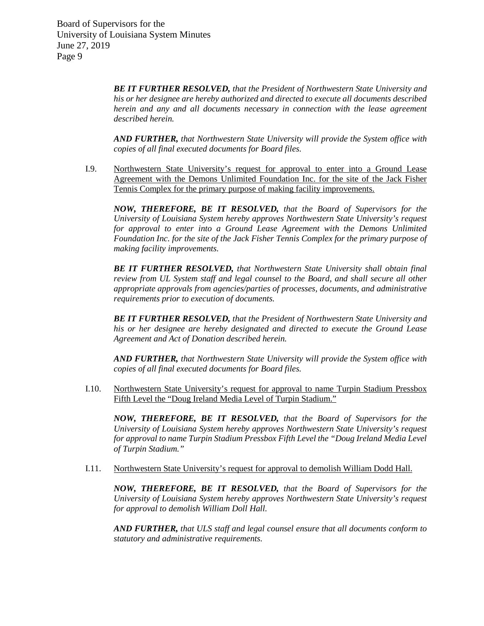> *BE IT FURTHER RESOLVED, that the President of Northwestern State University and his or her designee are hereby authorized and directed to execute all documents described herein and any and all documents necessary in connection with the lease agreement described herein.*

> *AND FURTHER, that Northwestern State University will provide the System office with copies of all final executed documents for Board files.*

I.9. Northwestern State University's request for approval to enter into a Ground Lease Agreement with the Demons Unlimited Foundation Inc. for the site of the Jack Fisher Tennis Complex for the primary purpose of making facility improvements.

*NOW, THEREFORE, BE IT RESOLVED, that the Board of Supervisors for the University of Louisiana System hereby approves Northwestern State University's request for approval to enter into a Ground Lease Agreement with the Demons Unlimited Foundation Inc. for the site of the Jack Fisher Tennis Complex for the primary purpose of making facility improvements.*

*BE IT FURTHER RESOLVED, that Northwestern State University shall obtain final review from UL System staff and legal counsel to the Board, and shall secure all other appropriate approvals from agencies/parties of processes, documents, and administrative requirements prior to execution of documents.*

*BE IT FURTHER RESOLVED, that the President of Northwestern State University and his or her designee are hereby designated and directed to execute the Ground Lease Agreement and Act of Donation described herein.*

*AND FURTHER, that Northwestern State University will provide the System office with copies of all final executed documents for Board files.*

I.10. Northwestern State University's request for approval to name Turpin Stadium Pressbox Fifth Level the "Doug Ireland Media Level of Turpin Stadium."

*NOW, THEREFORE, BE IT RESOLVED, that the Board of Supervisors for the University of Louisiana System hereby approves Northwestern State University's request for approval to name Turpin Stadium Pressbox Fifth Level the "Doug Ireland Media Level of Turpin Stadium."*

I.11. Northwestern State University's request for approval to demolish William Dodd Hall.

*NOW, THEREFORE, BE IT RESOLVED, that the Board of Supervisors for the University of Louisiana System hereby approves Northwestern State University's request for approval to demolish William Doll Hall.* 

*AND FURTHER, that ULS staff and legal counsel ensure that all documents conform to statutory and administrative requirements.*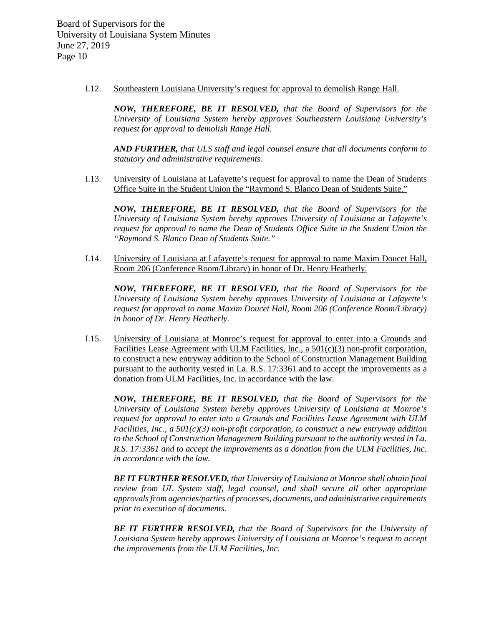I.12. Southeastern Louisiana University's request for approval to demolish Range Hall.

*NOW, THEREFORE, BE IT RESOLVED, that the Board of Supervisors for the University of Louisiana System hereby approves Southeastern Louisiana University's request for approval to demolish Range Hall.*

*AND FURTHER, that ULS staff and legal counsel ensure that all documents conform to statutory and administrative requirements.*

I.13. University of Louisiana at Lafayette's request for approval to name the Dean of Students Office Suite in the Student Union the "Raymond S. Blanco Dean of Students Suite."

*NOW, THEREFORE, BE IT RESOLVED, that the Board of Supervisors for the University of Louisiana System hereby approves University of Louisiana at Lafayette's request for approval to name the Dean of Students Office Suite in the Student Union the "Raymond S. Blanco Dean of Students Suite."*

I.14. University of Louisiana at Lafayette's request for approval to name Maxim Doucet Hall, Room 206 (Conference Room/Library) in honor of Dr. Henry Heatherly.

*NOW, THEREFORE, BE IT RESOLVED, that the Board of Supervisors for the University of Louisiana System hereby approves University of Louisiana at Lafayette's request for approval to name Maxim Doucet Hall, Room 206 (Conference Room/Library) in honor of Dr. Henry Heatherly.* 

I.15. University of Louisiana at Monroe's request for approval to enter into a Grounds and Facilities Lease Agreement with ULM Facilities, Inc., a  $501(c)(3)$  non-profit corporation, to construct a new entryway addition to the School of Construction Management Building pursuant to the authority vested in La. R.S. 17:3361 and to accept the improvements as a donation from ULM Facilities, Inc. in accordance with the law.

*NOW, THEREFORE, BE IT RESOLVED, that the Board of Supervisors for the University of Louisiana System hereby approves University of Louisiana at Monroe's request for approval to enter into a Grounds and Facilities Lease Agreement with ULM Facilities, Inc., a 501(c)(3) non-profit corporation, to construct a new entryway addition to the School of Construction Management Building pursuant to the authority vested in La. R.S. 17:3361 and to accept the improvements as a donation from the ULM Facilities, Inc. in accordance with the law.* 

*BE IT FURTHER RESOLVED, that University of Louisiana at Monroe shall obtain final review from UL System staff, legal counsel, and shall secure all other appropriate approvals from agencies/parties of processes, documents, and administrative requirements prior to execution of documents.* 

*BE IT FURTHER RESOLVED, that the Board of Supervisors for the University of Louisiana System hereby approves University of Louisiana at Monroe's request to accept the improvements from the ULM Facilities, Inc.*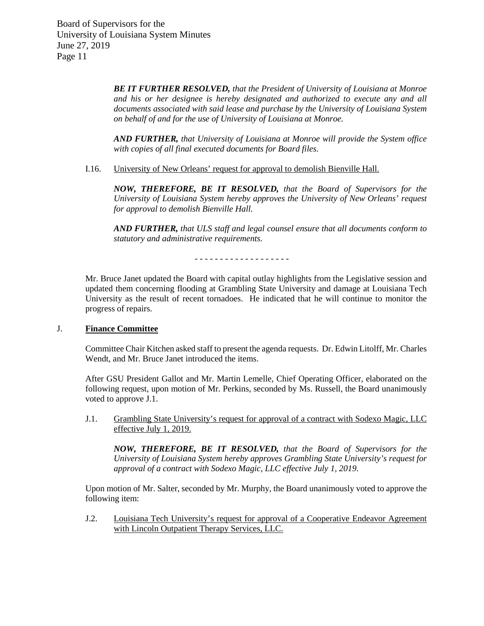> *BE IT FURTHER RESOLVED, that the President of University of Louisiana at Monroe and his or her designee is hereby designated and authorized to execute any and all documents associated with said lease and purchase by the University of Louisiana System on behalf of and for the use of University of Louisiana at Monroe.*

> *AND FURTHER, that University of Louisiana at Monroe will provide the System office with copies of all final executed documents for Board files.*

I.16. University of New Orleans' request for approval to demolish Bienville Hall.

*NOW, THEREFORE, BE IT RESOLVED, that the Board of Supervisors for the University of Louisiana System hereby approves the University of New Orleans' request for approval to demolish Bienville Hall.*

*AND FURTHER, that ULS staff and legal counsel ensure that all documents conform to statutory and administrative requirements.*

- - - - - - - - - - - - - - - - - - -

Mr. Bruce Janet updated the Board with capital outlay highlights from the Legislative session and updated them concerning flooding at Grambling State University and damage at Louisiana Tech University as the result of recent tornadoes. He indicated that he will continue to monitor the progress of repairs.

### J. **Finance Committee**

Committee Chair Kitchen asked staff to present the agenda requests. Dr. Edwin Litolff, Mr. Charles Wendt, and Mr. Bruce Janet introduced the items.

After GSU President Gallot and Mr. Martin Lemelle, Chief Operating Officer, elaborated on the following request, upon motion of Mr. Perkins, seconded by Ms. Russell, the Board unanimously voted to approve J.1.

J.1. Grambling State University's request for approval of a contract with Sodexo Magic, LLC effective July 1, 2019.

*NOW, THEREFORE, BE IT RESOLVED, that the Board of Supervisors for the University of Louisiana System hereby approves Grambling State University's request for approval of a contract with Sodexo Magic, LLC effective July 1, 2019.*

Upon motion of Mr. Salter, seconded by Mr. Murphy, the Board unanimously voted to approve the following item:

J.2. Louisiana Tech University's request for approval of a Cooperative Endeavor Agreement with Lincoln Outpatient Therapy Services, LLC.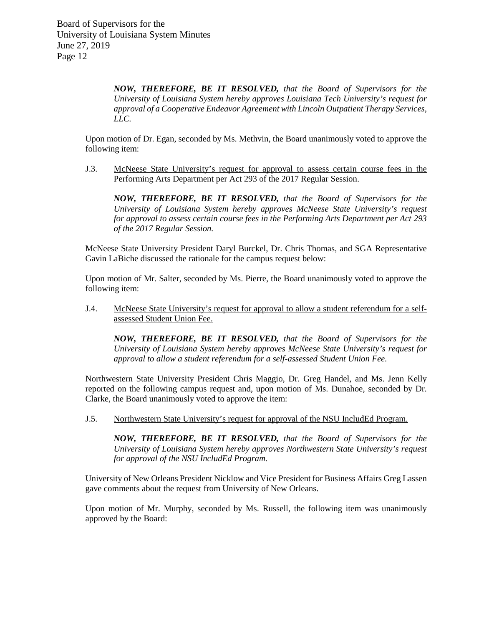*NOW, THEREFORE, BE IT RESOLVED, that the Board of Supervisors for the University of Louisiana System hereby approves Louisiana Tech University's request for approval of a Cooperative Endeavor Agreement with Lincoln Outpatient Therapy Services, LLC.*

Upon motion of Dr. Egan, seconded by Ms. Methvin, the Board unanimously voted to approve the following item:

J.3. McNeese State University's request for approval to assess certain course fees in the Performing Arts Department per Act 293 of the 2017 Regular Session.

*NOW, THEREFORE, BE IT RESOLVED, that the Board of Supervisors for the University of Louisiana System hereby approves McNeese State University's request for approval to assess certain course fees in the Performing Arts Department per Act 293 of the 2017 Regular Session.* 

McNeese State University President Daryl Burckel, Dr. Chris Thomas, and SGA Representative Gavin LaBiche discussed the rationale for the campus request below:

Upon motion of Mr. Salter, seconded by Ms. Pierre, the Board unanimously voted to approve the following item:

J.4. McNeese State University's request for approval to allow a student referendum for a selfassessed Student Union Fee.

*NOW, THEREFORE, BE IT RESOLVED, that the Board of Supervisors for the University of Louisiana System hereby approves McNeese State University's request for approval to allow a student referendum for a self-assessed Student Union Fee.* 

Northwestern State University President Chris Maggio, Dr. Greg Handel, and Ms. Jenn Kelly reported on the following campus request and, upon motion of Ms. Dunahoe, seconded by Dr. Clarke, the Board unanimously voted to approve the item:

J.5. Northwestern State University's request for approval of the NSU IncludEd Program.

*NOW, THEREFORE, BE IT RESOLVED, that the Board of Supervisors for the University of Louisiana System hereby approves Northwestern State University's request for approval of the NSU IncludEd Program.*

University of New Orleans President Nicklow and Vice President for Business Affairs Greg Lassen gave comments about the request from University of New Orleans.

Upon motion of Mr. Murphy, seconded by Ms. Russell, the following item was unanimously approved by the Board: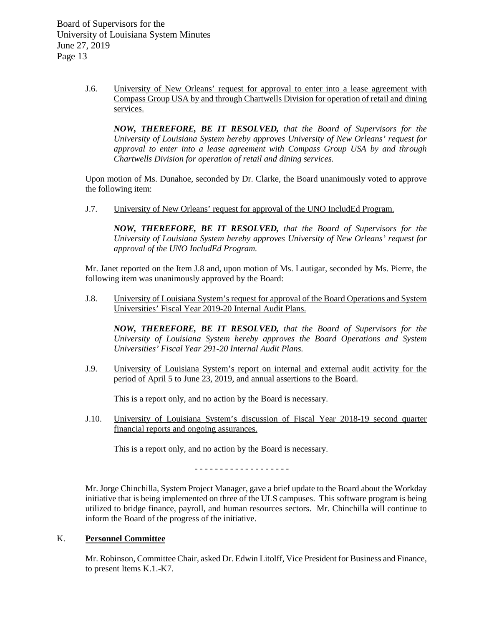J.6. University of New Orleans' request for approval to enter into a lease agreement with Compass Group USA by and through Chartwells Division for operation of retail and dining services.

*NOW, THEREFORE, BE IT RESOLVED, that the Board of Supervisors for the University of Louisiana System hereby approves University of New Orleans' request for approval to enter into a lease agreement with Compass Group USA by and through Chartwells Division for operation of retail and dining services.*

Upon motion of Ms. Dunahoe, seconded by Dr. Clarke, the Board unanimously voted to approve the following item:

J.7. University of New Orleans' request for approval of the UNO IncludEd Program.

*NOW, THEREFORE, BE IT RESOLVED, that the Board of Supervisors for the University of Louisiana System hereby approves University of New Orleans' request for approval of the UNO IncludEd Program.* 

Mr. Janet reported on the Item J.8 and, upon motion of Ms. Lautigar, seconded by Ms. Pierre, the following item was unanimously approved by the Board:

J.8. University of Louisiana System's request for approval of the Board Operations and System Universities' Fiscal Year 2019-20 Internal Audit Plans.

*NOW, THEREFORE, BE IT RESOLVED, that the Board of Supervisors for the University of Louisiana System hereby approves the Board Operations and System Universities' Fiscal Year 291-20 Internal Audit Plans.*

J.9. University of Louisiana System's report on internal and external audit activity for the period of April 5 to June 23, 2019, and annual assertions to the Board.

This is a report only, and no action by the Board is necessary.

J.10. University of Louisiana System's discussion of Fiscal Year 2018-19 second quarter financial reports and ongoing assurances.

This is a report only, and no action by the Board is necessary.

- - - - - - - - - - - - - - - - - - -

Mr. Jorge Chinchilla, System Project Manager, gave a brief update to the Board about the Workday initiative that is being implemented on three of the ULS campuses. This software program is being utilized to bridge finance, payroll, and human resources sectors. Mr. Chinchilla will continue to inform the Board of the progress of the initiative.

### K. **Personnel Committee**

Mr. Robinson, Committee Chair, asked Dr. Edwin Litolff, Vice President for Business and Finance, to present Items K.1.-K7.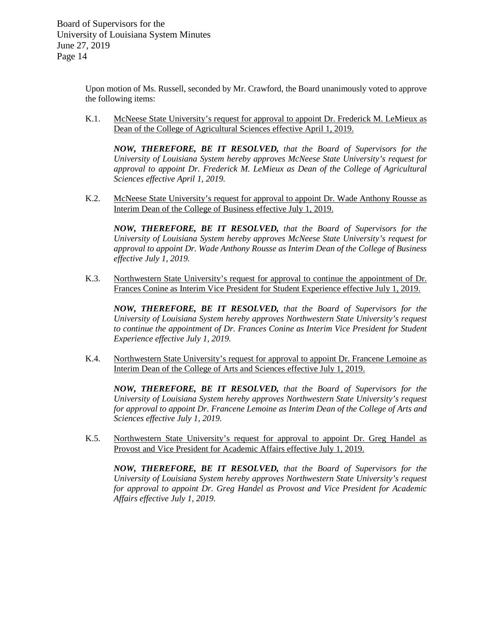Upon motion of Ms. Russell, seconded by Mr. Crawford, the Board unanimously voted to approve the following items:

K.1. McNeese State University's request for approval to appoint Dr. Frederick M. LeMieux as Dean of the College of Agricultural Sciences effective April 1, 2019.

*NOW, THEREFORE, BE IT RESOLVED, that the Board of Supervisors for the University of Louisiana System hereby approves McNeese State University's request for approval to appoint Dr. Frederick M. LeMieux as Dean of the College of Agricultural Sciences effective April 1, 2019.*

K.2. McNeese State University's request for approval to appoint Dr. Wade Anthony Rousse as Interim Dean of the College of Business effective July 1, 2019.

*NOW, THEREFORE, BE IT RESOLVED, that the Board of Supervisors for the University of Louisiana System hereby approves McNeese State University's request for approval to appoint Dr. Wade Anthony Rousse as Interim Dean of the College of Business effective July 1, 2019.*

K.3. Northwestern State University's request for approval to continue the appointment of Dr. Frances Conine as Interim Vice President for Student Experience effective July 1, 2019.

*NOW, THEREFORE, BE IT RESOLVED, that the Board of Supervisors for the University of Louisiana System hereby approves Northwestern State University's request to continue the appointment of Dr. Frances Conine as Interim Vice President for Student Experience effective July 1, 2019.*

K.4. Northwestern State University's request for approval to appoint Dr. Francene Lemoine as Interim Dean of the College of Arts and Sciences effective July 1, 2019.

*NOW, THEREFORE, BE IT RESOLVED, that the Board of Supervisors for the University of Louisiana System hereby approves Northwestern State University's request for approval to appoint Dr. Francene Lemoine as Interim Dean of the College of Arts and Sciences effective July 1, 2019.*

K.5. Northwestern State University's request for approval to appoint Dr. Greg Handel as Provost and Vice President for Academic Affairs effective July 1, 2019.

*NOW, THEREFORE, BE IT RESOLVED, that the Board of Supervisors for the University of Louisiana System hereby approves Northwestern State University's request for approval to appoint Dr. Greg Handel as Provost and Vice President for Academic Affairs effective July 1, 2019.*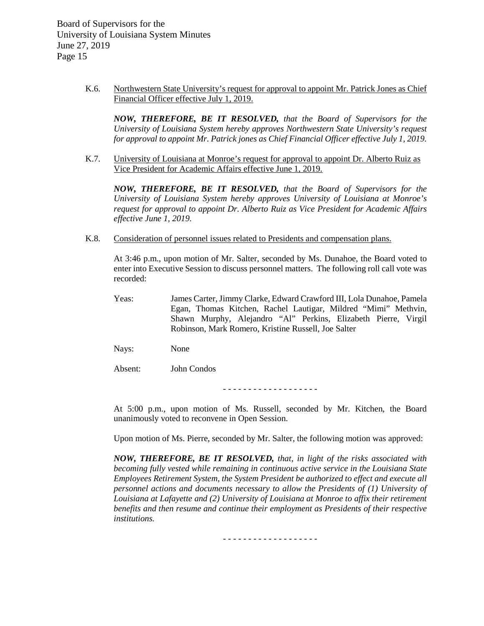> K.6. Northwestern State University's request for approval to appoint Mr. Patrick Jones as Chief Financial Officer effective July 1, 2019.

*NOW, THEREFORE, BE IT RESOLVED, that the Board of Supervisors for the University of Louisiana System hereby approves Northwestern State University's request for approval to appoint Mr. Patrick jones as Chief Financial Officer effective July 1, 2019.*

K.7. University of Louisiana at Monroe's request for approval to appoint Dr. Alberto Ruiz as Vice President for Academic Affairs effective June 1, 2019.

*NOW, THEREFORE, BE IT RESOLVED, that the Board of Supervisors for the University of Louisiana System hereby approves University of Louisiana at Monroe's request for approval to appoint Dr. Alberto Ruiz as Vice President for Academic Affairs effective June 1, 2019.*

K.8. Consideration of personnel issues related to Presidents and compensation plans.

At 3:46 p.m., upon motion of Mr. Salter, seconded by Ms. Dunahoe, the Board voted to enter into Executive Session to discuss personnel matters. The following roll call vote was recorded:

Yeas: James Carter, Jimmy Clarke, Edward Crawford III, Lola Dunahoe, Pamela Egan, Thomas Kitchen, Rachel Lautigar, Mildred "Mimi" Methvin, Shawn Murphy, Alejandro "Al" Perkins, Elizabeth Pierre, Virgil Robinson, Mark Romero, Kristine Russell, Joe Salter

Nays: None

Absent: John Condos

- - - - - - - - - - - - - - - - - - -

At 5:00 p.m., upon motion of Ms. Russell, seconded by Mr. Kitchen, the Board unanimously voted to reconvene in Open Session.

Upon motion of Ms. Pierre, seconded by Mr. Salter, the following motion was approved:

*NOW, THEREFORE, BE IT RESOLVED, that, in light of the risks associated with becoming fully vested while remaining in continuous active service in the Louisiana State Employees Retirement System, the System President be authorized to effect and execute all personnel actions and documents necessary to allow the Presidents of (1) University of Louisiana at Lafayette and (2) University of Louisiana at Monroe to affix their retirement benefits and then resume and continue their employment as Presidents of their respective institutions.* 

- - - - - - - - - - - - - - - - - - -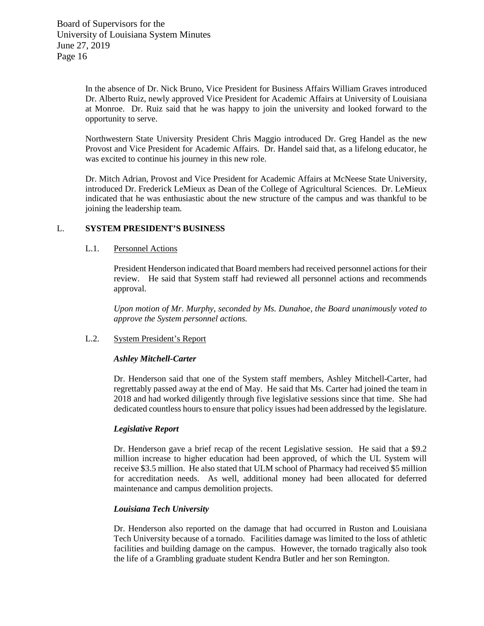In the absence of Dr. Nick Bruno, Vice President for Business Affairs William Graves introduced Dr. Alberto Ruiz, newly approved Vice President for Academic Affairs at University of Louisiana at Monroe. Dr. Ruiz said that he was happy to join the university and looked forward to the opportunity to serve.

Northwestern State University President Chris Maggio introduced Dr. Greg Handel as the new Provost and Vice President for Academic Affairs. Dr. Handel said that, as a lifelong educator, he was excited to continue his journey in this new role.

Dr. Mitch Adrian, Provost and Vice President for Academic Affairs at McNeese State University, introduced Dr. Frederick LeMieux as Dean of the College of Agricultural Sciences. Dr. LeMieux indicated that he was enthusiastic about the new structure of the campus and was thankful to be joining the leadership team.

# L. **SYSTEM PRESIDENT'S BUSINESS**

### L.1. Personnel Actions

President Henderson indicated that Board members had received personnel actions for their review. He said that System staff had reviewed all personnel actions and recommends approval.

*Upon motion of Mr. Murphy, seconded by Ms. Dunahoe, the Board unanimously voted to approve the System personnel actions.*

### L.2. System President's Report

### *Ashley Mitchell-Carter*

Dr. Henderson said that one of the System staff members, Ashley Mitchell-Carter, had regrettably passed away at the end of May. He said that Ms. Carter had joined the team in 2018 and had worked diligently through five legislative sessions since that time. She had dedicated countless hours to ensure that policy issues had been addressed by the legislature.

### *Legislative Report*

Dr. Henderson gave a brief recap of the recent Legislative session. He said that a \$9.2 million increase to higher education had been approved, of which the UL System will receive \$3.5 million. He also stated that ULM school of Pharmacy had received \$5 million for accreditation needs. As well, additional money had been allocated for deferred maintenance and campus demolition projects.

### *Louisiana Tech University*

Dr. Henderson also reported on the damage that had occurred in Ruston and Louisiana Tech University because of a tornado. Facilities damage was limited to the loss of athletic facilities and building damage on the campus. However, the tornado tragically also took the life of a Grambling graduate student Kendra Butler and her son Remington.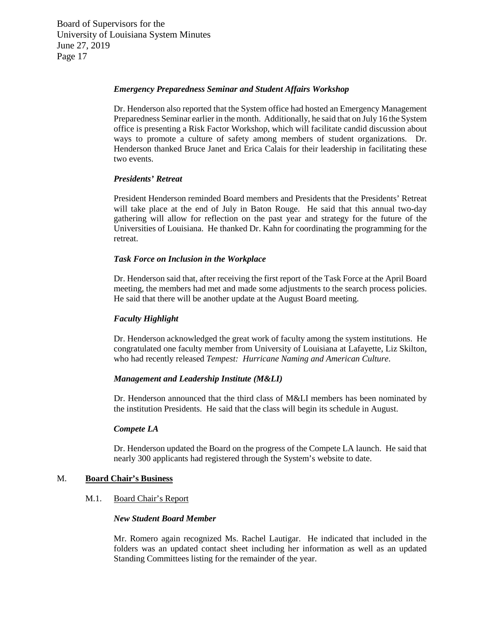#### *Emergency Preparedness Seminar and Student Affairs Workshop*

Dr. Henderson also reported that the System office had hosted an Emergency Management Preparedness Seminar earlier in the month. Additionally, he said that on July 16 the System office is presenting a Risk Factor Workshop, which will facilitate candid discussion about ways to promote a culture of safety among members of student organizations. Dr. Henderson thanked Bruce Janet and Erica Calais for their leadership in facilitating these two events.

#### *Presidents' Retreat*

President Henderson reminded Board members and Presidents that the Presidents' Retreat will take place at the end of July in Baton Rouge. He said that this annual two-day gathering will allow for reflection on the past year and strategy for the future of the Universities of Louisiana. He thanked Dr. Kahn for coordinating the programming for the retreat.

#### *Task Force on Inclusion in the Workplace*

Dr. Henderson said that, after receiving the first report of the Task Force at the April Board meeting, the members had met and made some adjustments to the search process policies. He said that there will be another update at the August Board meeting.

### *Faculty Highlight*

Dr. Henderson acknowledged the great work of faculty among the system institutions. He congratulated one faculty member from University of Louisiana at Lafayette, Liz Skilton, who had recently released *Tempest: Hurricane Naming and American Culture*.

#### *Management and Leadership Institute (M&LI)*

Dr. Henderson announced that the third class of M&LI members has been nominated by the institution Presidents. He said that the class will begin its schedule in August.

#### *Compete LA*

Dr. Henderson updated the Board on the progress of the Compete LA launch. He said that nearly 300 applicants had registered through the System's website to date.

#### M. **Board Chair's Business**

#### M.1. Board Chair's Report

#### *New Student Board Member*

Mr. Romero again recognized Ms. Rachel Lautigar. He indicated that included in the folders was an updated contact sheet including her information as well as an updated Standing Committees listing for the remainder of the year.